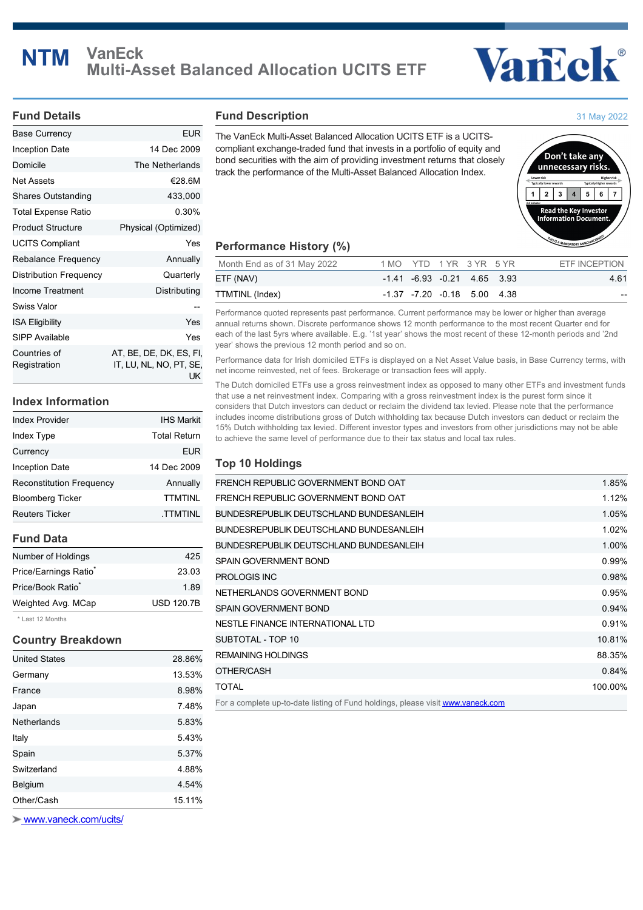# **NTM VanEck Multi-Asset Balanced Allocation UCITS ETF**



#### **Fund Details**

| <b>Base Currency</b>         | <b>EUR</b>                                               |
|------------------------------|----------------------------------------------------------|
| Inception Date               | 14 Dec 2009                                              |
| Domicile                     | The Netherlands                                          |
| Net Assets                   | €28.6M                                                   |
| <b>Shares Outstanding</b>    | 433,000                                                  |
| Total Expense Ratio          | 0.30%                                                    |
| <b>Product Structure</b>     | Physical (Optimized)                                     |
| <b>UCITS Compliant</b>       | Yes                                                      |
| Rebalance Frequency          | Annually                                                 |
| Distribution Frequency       | Quarterly                                                |
| Income Treatment             | Distributing                                             |
| Swiss Valor                  |                                                          |
| <b>ISA Eligibility</b>       | Yes                                                      |
| SIPP Available               | Yes                                                      |
| Countries of<br>Registration | AT, BE, DE, DK, ES, FI,<br>IT, LU, NL, NO, PT, SE,<br>UK |

## **Index Information**

| <b>Index Provider</b>    | <b>IHS Markit</b>   |
|--------------------------|---------------------|
| Index Type               | <b>Total Return</b> |
| Currency                 | <b>EUR</b>          |
| Inception Date           | 14 Dec 2009         |
| Reconstitution Frequency | Annually            |
| <b>Bloomberg Ticker</b>  | <b>TTMTINL</b>      |
| <b>Reuters Ticker</b>    | <b>TTMTINL</b>      |
|                          |                     |

# **Fund Data**

| Number of Holdings                     | 425               |
|----------------------------------------|-------------------|
| Price/Earnings Ratio <sup>*</sup>      | 23.03             |
| Price/Book Ratio <sup>*</sup>          | 1.89              |
| Weighted Avg. MCap                     | <b>USD 120.7B</b> |
| $\pm$ 1 $ -$ 4 $\pm$ 0 $-$ 4 $-$ 4 $-$ |                   |

Last 12 Months

# **Country Breakdown**

| Other/Cash           | 15.11% |
|----------------------|--------|
| Belgium              | 4.54%  |
| Switzerland          | 4.88%  |
| Spain                | 5.37%  |
| Italy                | 5.43%  |
| Netherlands          | 5.83%  |
| Japan                | 7.48%  |
| France               | 8.98%  |
| Germany              | 13.53% |
| <b>United States</b> | 28.86% |

 [www.vaneck.com/ucits/](http://www.vaneck.com/ucits/)

#### **Fund Description**

The VanEck Multi-Asset Balanced Allocation UCITS ETF is a UCITScompliant exchange-traded fund that invests in a portfolio of equity and bond securities with the aim of providing investment returns that closely track the performance of the Multi-Asset Balanced Allocation Index.



### **Performance History (%)**

| Month End as of 31 May 2022 | 1 MO YTD 1 YR 3 YR 5 YR |  |                                       | ETF INCEPTION |
|-----------------------------|-------------------------|--|---------------------------------------|---------------|
| ETF (NAV)                   |                         |  | $-1.41$ $-6.93$ $-0.21$ $4.65$ $3.93$ | 4.61          |
| TTMTINL (Index)             |                         |  | $-1.37$ $-7.20$ $-0.18$ 5.00 4.38     | $- -$         |

Performance quoted represents past performance. Current performance may be lower or higher than average annual returns shown. Discrete performance shows 12 month performance to the most recent Quarter end for each of the last 5yrs where available. E.g. '1st year' shows the most recent of these 12-month periods and '2nd year' shows the previous 12 month period and so on.

Performance data for Irish domiciled ETFs is displayed on a Net Asset Value basis, in Base Currency terms, with net income reinvested, net of fees. Brokerage or transaction fees will apply.

The Dutch domiciled ETFs use a gross reinvestment index as opposed to many other ETFs and investment funds that use a net reinvestment index. Comparing with a gross reinvestment index is the purest form since it considers that Dutch investors can deduct or reclaim the dividend tax levied. Please note that the performance includes income distributions gross of Dutch withholding tax because Dutch investors can deduct or reclaim the 15% Dutch withholding tax levied. Different investor types and investors from other jurisdictions may not be able to achieve the same level of performance due to their tax status and local tax rules.

### **Top 10 Holdings**

| FRENCH REPUBLIC GOVERNMENT BOND OAT                                             | 1.85%   |
|---------------------------------------------------------------------------------|---------|
| FRENCH REPUBLIC GOVERNMENT BOND OAT                                             | 1.12%   |
| BUNDESREPUBLIK DEUTSCHLAND BUNDESANLEIH                                         | 1.05%   |
| BUNDESREPUBLIK DEUTSCHLAND BUNDESANLEIH                                         | 1.02%   |
| BUNDESREPUBLIK DEUTSCHLAND BUNDESANLEIH                                         | 1.00%   |
| SPAIN GOVERNMENT BOND                                                           | 0.99%   |
| PROLOGIS INC                                                                    | 0.98%   |
| NETHERLANDS GOVERNMENT BOND                                                     | 0.95%   |
| SPAIN GOVERNMENT BOND                                                           | 0.94%   |
| NESTLE FINANCE INTERNATIONAL LTD                                                | 0.91%   |
| SUBTOTAL - TOP 10                                                               | 10.81%  |
| <b>REMAINING HOLDINGS</b>                                                       | 88.35%  |
| OTHER/CASH                                                                      | 0.84%   |
| <b>TOTAL</b>                                                                    | 100.00% |
| For a complete up-to-date listing of Fund holdings, please visit www.vaneck.com |         |

31 May 2022